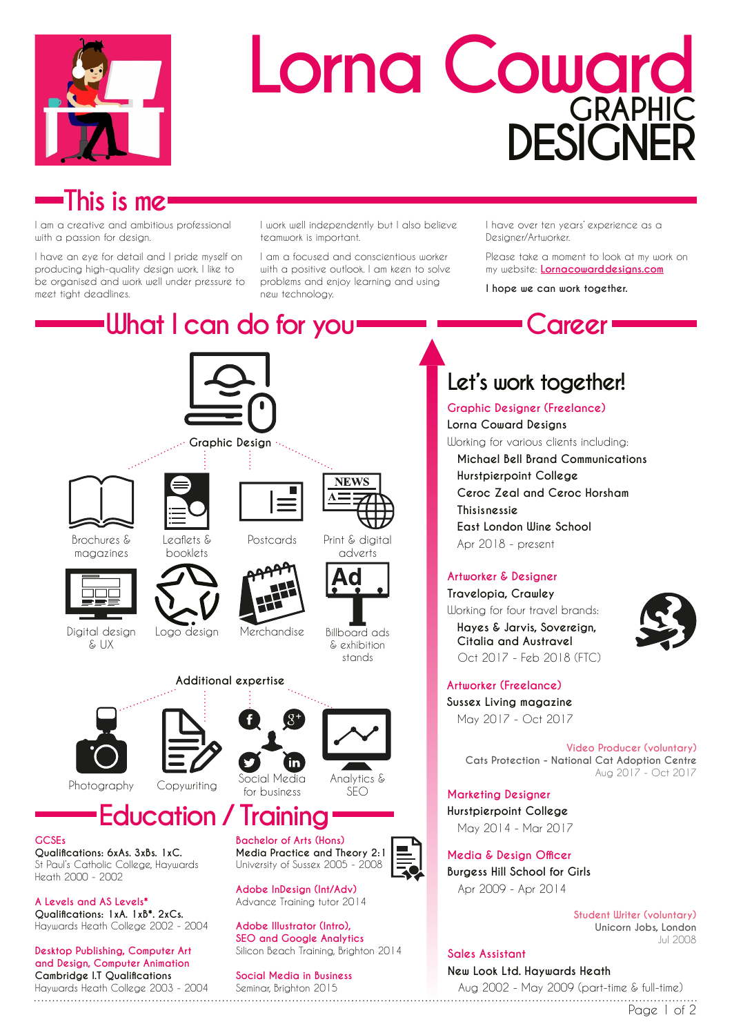

# **Lorna Coward GRAPHIC DESIGNER**

### **This is me**

**GCSEs**

I am a creative and ambitious professional with a passion for desian.

I have an eye for detail and I pride myself on producing high-quality design work. I like to be organised and work well under pressure to meet tight deadlines.

I work well independently but I also believe teamwork is important.

I am a focused and conscientious worker with a positive outlook. I am keen to solve problems and enjoy learning and using new technology.

I have over ten years' experience as a Designer/Artworker.

Please take a moment to look at my work on my website: **[Lornacowarddesigns.com](http://www.lornacowarddesigns.com)**

**I hope we can work together.**

**Career**



### **Let's work together!**

**Graphic Designer (Freelance) Lorna Coward Designs** Working for various clients including: **Michael Bell Brand Communications Hurstpierpoint College Ceroc Zeal and Ceroc Horsham Thisisnessie East London Wine School** Apr 2018 - present

#### **Artworker & Designer**

**Travelopia, Crawley** Working for four travel brands: **Hayes & Jarvis, Sovereign, Citalia and Austravel** Oct 2017 - Feb 2018 (FTC)



**Artworker (Freelance) Sussex Living magazine** May 2017 - Oct 2017

> **Video Producer (voluntary) Cats Protection - National Cat Adoption Centre** Aug 2017 - Oct 2017

**Marketing Designer Hurstpierpoint College** May 2014 - Mar 2017

**Media & Design Officer Burgess Hill School for Girls** Apr 2009 - Apr 2014

> **Student Writer (voluntary) Unicorn Jobs, London** Jul 2008

**Sales Assistant**

**New Look Ltd. Haywards Heath**

Aug 2002 - May 2009 (part-time & full-time) . . . . . . . . . .

Page 1 of 2